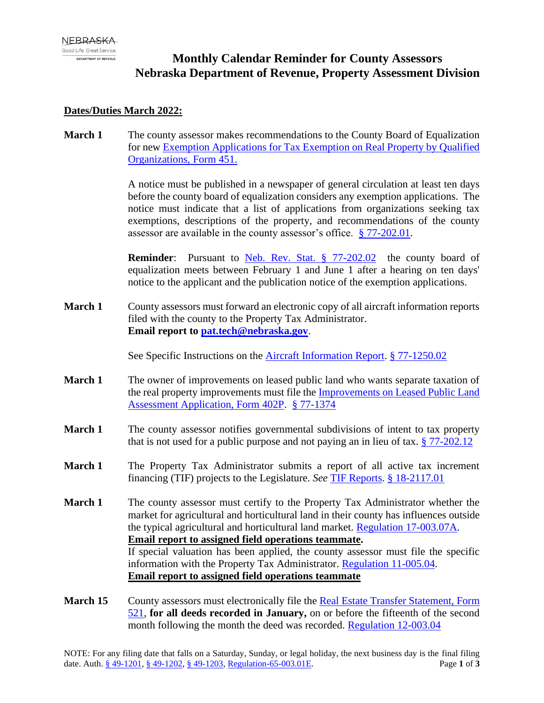# **Monthly Calendar Reminder for County Assessors Nebraska Department of Revenue, Property Assessment Division**

#### **Dates/Duties March 2022:**

**March 1** The county assessor makes recommendations to the County Board of Equalization for new [Exemption Applications for Tax Exemption on Real Property by Qualified](https://revenue.nebraska.gov/sites/revenue.nebraska.gov/files/doc/pad/forms/451_Exempt_App.pdf)  [Organizations, Form 451.](https://revenue.nebraska.gov/sites/revenue.nebraska.gov/files/doc/pad/forms/451_Exempt_App.pdf)

> A notice must be published in a newspaper of general circulation at least ten days before the county board of equalization considers any exemption applications. The notice must indicate that a list of applications from organizations seeking tax exemptions, descriptions of the property, and recommendations of the county assessor are available in the county assessor's office. § [77-202.01.](https://nebraskalegislature.gov/laws/statutes.php?statute=77-202.01)

> **Reminder:** Pursuant to [Neb. Rev. Stat. § 77-202.02](https://nebraskalegislature.gov/laws/statutes.php?statute=77-202.02) the county board of equalization meets between February 1 and June 1 after a hearing on ten days' notice to the applicant and the publication notice of the exemption applications.

**March 1** County assessors must forward an electronic copy of all aircraft information reports filed with the county to the Property Tax Administrator. **Email report to [pat.tech@nebraska.gov](mailto:pat.tech@nebraska.gov)**.

See Specific Instructions on the [Aircraft Information Report.](https://revenue.nebraska.gov/sites/revenue.nebraska.gov/files/doc/pad/forms/Aircraft_Info_Report.pdf) [§ 77-1250.02](https://nebraskalegislature.gov/laws/statutes.php?statute=77-1250.02)

- **March 1** The owner of improvements on leased public land who wants separate taxation of the real property improvements must file the [Improvements on Leased Public Land](https://revenue.nebraska.gov/sites/revenue.nebraska.gov/files/doc/pad/forms/402P_Improvements_on_Leased_Public_Land.pdf)  [Assessment Application, Form 402P.](https://revenue.nebraska.gov/sites/revenue.nebraska.gov/files/doc/pad/forms/402P_Improvements_on_Leased_Public_Land.pdf) [§ 77-1374](https://nebraskalegislature.gov/laws/statutes.php?statute=77-1374)
- **March 1** The county assessor notifies governmental subdivisions of intent to tax property that is not used for a public purpose and not paying an in lieu of tax. [§ 77-202.12](https://nebraskalegislature.gov/laws/statutes.php?statute=77-202.12)
- **March 1** The Property Tax Administrator submits a report of all active tax increment financing (TIF) projects to the Legislature. *See* [TIF Reports.](https://revenue.nebraska.gov/PAD/research-statistical-reports/tax-increment-financing-annual-reports-legislature) [§ 18-2117.01](https://nebraskalegislature.gov/laws/statutes.php?statute=18-2117.01)
- **March 1** The county assessor must certify to the Property Tax Administrator whether the market for agricultural and horticultural land in their county has influences outside the typical agricultural and horticultural land market. [Regulation 17-003.07A.](https://www.revenue.nebraska.gov/PAD/legal/regs/Chapter17_Reports_and_Opinions.pdf) **Email report to assigned field operations teammate.**  If special valuation has been applied, the county assessor must file the specific information with the Property Tax Administrator. [Regulation 11-005.04.](https://www.revenue.nebraska.gov/PAD/legal/regs/Chapter11_Agricultural_Land_Special_Valuation_3-15-2009.pdf) **Email report to assigned field operations teammate**
- **March 15** County assessors must electronically file the [Real Estate Transfer Statement, Form](https://revenue.nebraska.gov/sites/revenue.nebraska.gov/files/doc/pad/forms/521_Real_Estate_Transfer_Statement.pdf)  [521,](https://revenue.nebraska.gov/sites/revenue.nebraska.gov/files/doc/pad/forms/521_Real_Estate_Transfer_Statement.pdf) **for all deeds recorded in January,** on or before the fifteenth of the second month following the month the deed was recorded. [Regulation 12-003.04](https://www.revenue.nebraska.gov/PAD/legal/regs/Chapter12_Sales_File.pdf)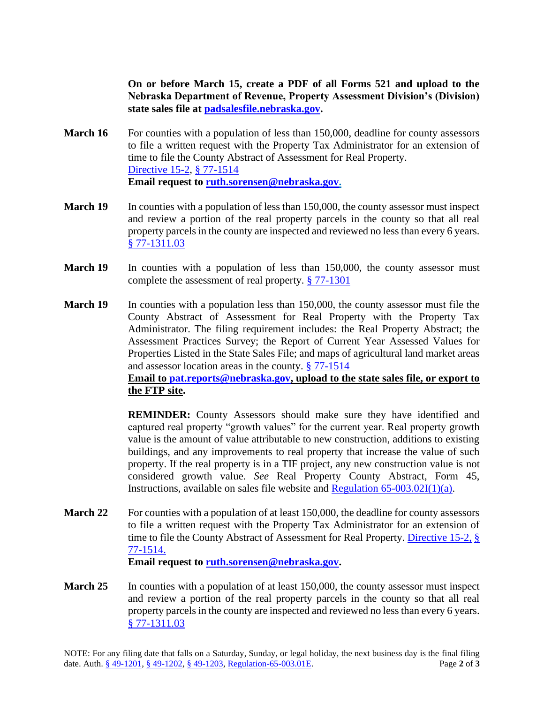**On or before March 15, create a PDF of all Forms 521 and upload to the Nebraska Department of Revenue, Property Assessment Division's (Division) state sales file at [padsalesfile.nebraska.gov.](http://padsalesfile.nebraska.gov/)**

- **March 16** For counties with a population of less than 150,000, deadline for county assessors to file a written request with the Property Tax Administrator for an extension of time to file the County Abstract of Assessment for Real Property. [Directive 15-2,](https://revenue.nebraska.gov/sites/revenue.nebraska.gov/files/doc/pad/legal/dir15-02_Abstract_Extension.pdf) [§ 77-1514](https://nebraskalegislature.gov/laws/statutes.php?statute=77-1514) **Email request to [ruth.sorensen@nebraska.gov.](mailto:ruth.sorensen@nebraska.gov)**
- **March 19** In counties with a population of less than 150,000, the county assessor must inspect and review a portion of the real property parcels in the county so that all real property parcels in the county are inspected and reviewed no less than every 6 years. [§ 77-1311.03](https://nebraskalegislature.gov/laws/statutes.php?statute=77-1311.03)
- **March 19** In counties with a population of less than 150,000, the county assessor must complete the assessment of real property. [§ 77-1301](https://nebraskalegislature.gov/laws/statutes.php?statute=77-1301)
- **March 19** In counties with a population less than 150,000, the county assessor must file the County Abstract of Assessment for Real Property with the Property Tax Administrator. The filing requirement includes: the Real Property Abstract; the Assessment Practices Survey; the Report of Current Year Assessed Values for Properties Listed in the State Sales File; and maps of agricultural land market areas and assessor location areas in the county. [§ 77-1514](https://nebraskalegislature.gov/laws/statutes.php?statute=77-1514)

## **Email to [pat.reports@nebraska.gov,](mailto:pat.reports@nebraska.gov) upload to the state sales file, or export to the FTP site.**

**REMINDER:** County Assessors should make sure they have identified and captured real property "growth values" for the current year. Real property growth value is the amount of value attributable to new construction, additions to existing buildings, and any improvements to real property that increase the value of such property. If the real property is in a TIF project, any new construction value is not considered growth value. *See* Real Property County Abstract, Form 45, Instructions, available on sales file website and Regulation  $65-003.02I(1)(a)$ .

**March 22** For counties with a population of at least 150,000, the deadline for county assessors to file a written request with the Property Tax Administrator for an extension of time to file the County Abstract of Assessment for Real Property. [Directive 15-2,](https://revenue.nebraska.gov/sites/revenue.nebraska.gov/files/doc/pad/legal/dir15-02_Abstract_Extension.pdf) [§](https://nebraskalegislature.gov/laws/statutes.php?statute=77-1514)  [77-1514.](https://nebraskalegislature.gov/laws/statutes.php?statute=77-1514)

**Email request to [ruth.sorensen@nebraska.gov.](mailto:ruth.sorensen@nebraska.gov)**

**March 25** In counties with a population of at least 150,000, the county assessor must inspect and review a portion of the real property parcels in the county so that all real property parcels in the county are inspected and reviewed no less than every 6 years. [§ 77-1311.03](https://nebraskalegislature.gov/laws/statutes.php?statute=77-1311.03)